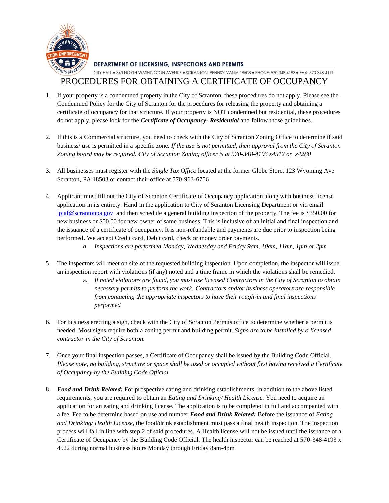

**DEPARTMENT OF LICENSING, INSPECTIONS AND PERMITS** 

## CITY HALL . 340 NORTH WASHINGTON AVENUE . SCRANTON, PENNSYLVANIA 18503 . PHONE: 570-348-4193 . FAX: 570-348-4171

### PROCEDURES FOR OBTAINING A CERTIFICATE OF OCCUPANCY

- 1. If your property is a condemned property in the City of Scranton, these procedures do not apply. Please see the Condemned Policy for the City of Scranton for the procedures for releasing the property and obtaining a certificate of occupancy for that structure. If your property is NOT condemned but residential, these procedures do not apply, please look for the *Certificate of Occupancy- Residential* and follow those guidelines.
- 2. If this is a Commercial structure, you need to check with the City of Scranton Zoning Office to determine if said business/ use is permitted in a specific zone. *If the use is not permitted, then approval from the City of Scranton Zoning board may be required. City of Scranton Zoning officer is at 570-348-4193 x4512 or x4280*
- 3. All businesses must register with the *Single Tax Office* located at the former Globe Store, 123 Wyoming Ave Scranton, PA 18503 or contact their office at 570-963-6756
- 4. Applicant must fill out the City of Scranton Certificate of Occupancy application along with business license application in its entirety. Hand in the application to City of Scranton Licensing Department or via email [lpiaf@scrantonpa.gov](mailto:lpiaf@scrantonpa.gov) and then schedule a general building inspection of the property. The fee is \$350.00 for new business or \$50.00 for new owner of same business. This is inclusive of an initial and final inspection and the issuance of a certificate of occupancy. It is non-refundable and payments are due prior to inspection being performed. We accept Credit card, Debit card, check or money order payments.
	- *a. Inspections are performed Monday, Wednesday and Friday 9am, 10am, 11am, 1pm or 2pm*
- 5. The inspectors will meet on site of the requested building inspection. Upon completion, the inspector will issue an inspection report with violations (if any) noted and a time frame in which the violations shall be remedied.
	- a. *If noted violations are found, you must use licensed Contractors in the City of Scranton to obtain necessary permits to perform the work. Contractors and/or business operators are responsible from contacting the appropriate inspectors to have their rough-in and final inspections performed*
- 6. For business erecting a sign, check with the City of Scranton Permits office to determine whether a permit is needed. Most signs require both a zoning permit and building permit. *Signs are to be installed by a licensed contractor in the City of Scranton.*
- 7. Once your final inspection passes, a Certificate of Occupancy shall be issued by the Building Code Official. *Please note, no building, structure or space shall be used or occupied without first having received a Certificate of Occupancy by the Building Code Official*
- 8. *Food and Drink Related:* For prospective eating and drinking establishments, in addition to the above listed requirements, you are required to obtain an *Eating and Drinking/ Health License.* You need to acquire an application for an eating and drinking license. The application is to be completed in full and accompanied with a fee. Fee to be determine based on use and number *Food and Drink Related:* Before the issuance of *Eating and Drinking/ Health License,* the food/drink establishment must pass a final health inspection. The inspection process will fall in line with step 2 of said procedures. A Health license will not be issued until the issuance of a Certificate of Occupancy by the Building Code Official. The health inspector can be reached at 570-348-4193 x 4522 during normal business hours Monday through Friday 8am-4pm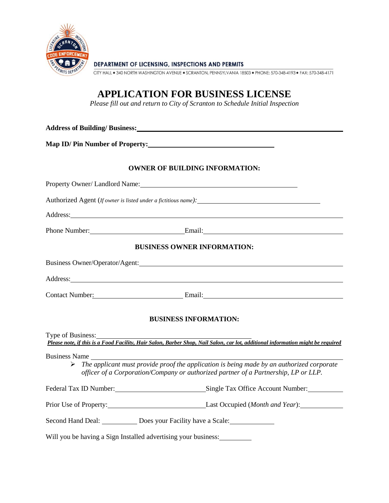

**DEPARTMENT OF LICENSING. INSPECTIONS AND PERMITS** 

CITY HALL . 340 NORTH WASHINGTON AVENUE . SCRANTON, PENNSYLVANIA 18503 . PHONE: 570-348-4193 . FAX: 570-348-4171

# **APPLICATION FOR BUSINESS LICENSE**

*Please fill out and return to City of Scranton to Schedule Initial Inspection*

**Address of Building/ Business: Map ID/ Pin Number of Property: OWNER OF BUILDING INFORMATION:** Property Owner/ Landlord Name: Name: Authorized Agent (*If owner is listed under a fictitious name):* Address: Phone Number: Email: Email: **BUSINESS OWNER INFORMATION:** Business Owner/Operator/Agent: Address: Contact Number: Email: Email: **BUSINESS INFORMATION:** Type of Business: *Please note, if this is a Food Facility, Hair Salon, Barber Shop, Nail Salon, car lot, additional information might be required* Business Name *The applicant must provide proof the application is being made by an authorized corporate officer of a Corporation/Company or authorized partner of a Partnership, LP or LLP.* Federal Tax ID Number: Single Tax Office Account Number: Prior Use of Property: Last Occupied (*Month and Year*): Second Hand Deal: Does your Facility have a Scale: Will you be having a Sign Installed advertising your business: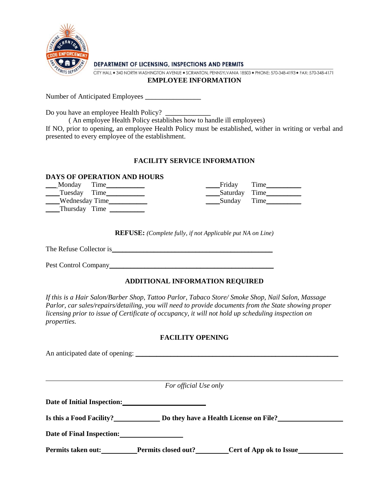

**DEPARTMENT OF LICENSING, INSPECTIONS AND PERMITS** 

CITY HALL . 340 NORTH WASHINGTON AVENUE . SCRANTON, PENNSYLVANIA 18503 . PHONE: 570-348-4193 . FAX: 570-348-4171

#### **EMPLOYEE INFORMATION**

Number of Anticipated Employees \_\_\_\_\_\_\_\_\_\_\_\_\_\_\_\_

Do you have an employee Health Policy?

( An employee Health Policy establishes how to handle ill employees)

If NO, prior to opening, an employee Health Policy must be established, wither in writing or verbal and presented to every employee of the establishment.

#### **FACILITY SERVICE INFORMATION**

#### **DAYS OF OPERATION AND HOURS**

| Time<br><b>Monday</b> | Time<br>Friday                                |
|-----------------------|-----------------------------------------------|
| ____Tuesday Time_     | Saturday Time<br>and the contract of the con- |
| ___Wednesday Time_    | Sunday Time                                   |
| ____Thursday Time     |                                               |

**REFUSE:** *(Complete fully, if not Applicable put NA on Line)*

The Refuse Collector is\_\_\_\_\_\_\_\_\_\_\_\_\_\_\_\_\_\_\_\_\_\_\_\_\_\_\_\_\_\_\_\_\_\_\_\_\_\_\_\_\_\_\_\_\_\_

Pest Control Company\_\_\_\_\_\_\_\_\_\_\_\_\_\_\_\_\_\_\_\_\_\_\_\_\_\_\_\_\_\_\_\_\_\_\_\_\_\_\_\_\_\_\_\_\_\_\_

#### **ADDITIONAL INFORMATION REQUIRED**

*If this is a Hair Salon/Barber Shop, Tattoo Parlor, Tabaco Store/ Smoke Shop, Nail Salon, Massage Parlor, car sales/repairs/detailing, you will need to provide documents from the State showing proper licensing prior to issue of Certificate of occupancy, it will not hold up scheduling inspection on properties.*

#### **FACILITY OPENING**

An anticipated date of opening: \_\_\_\_\_\_\_\_\_\_\_\_\_\_\_\_\_\_\_\_\_\_\_\_\_\_\_\_\_\_\_\_\_\_\_\_\_\_\_\_\_\_\_\_\_\_\_\_\_\_\_\_\_\_\_\_\_\_

*For official Use only* 

**Date of Initial Inspection:**

Is this a Food Facility? **Do they have a Health License on File?** 

**Date of Final Inspection:**

**Permits taken out:** Permits closed out? Cert of App ok to Issue